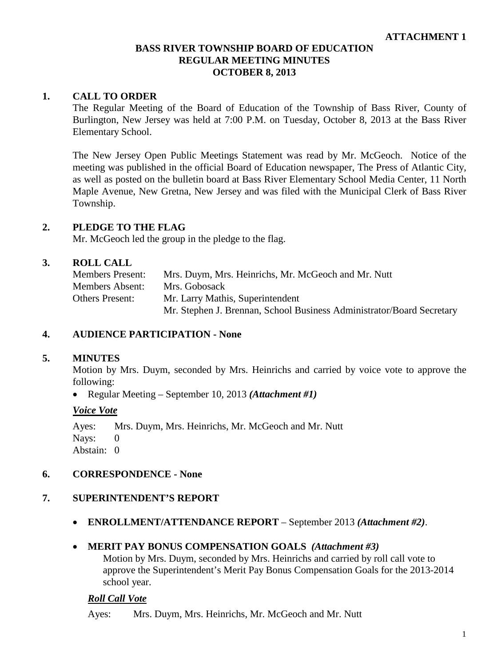### **1. CALL TO ORDER**

The Regular Meeting of the Board of Education of the Township of Bass River, County of Burlington, New Jersey was held at 7:00 P.M. on Tuesday, October 8, 2013 at the Bass River Elementary School.

The New Jersey Open Public Meetings Statement was read by Mr. McGeoch. Notice of the meeting was published in the official Board of Education newspaper, The Press of Atlantic City, as well as posted on the bulletin board at Bass River Elementary School Media Center, 11 North Maple Avenue, New Gretna, New Jersey and was filed with the Municipal Clerk of Bass River Township.

#### **2. PLEDGE TO THE FLAG**

Mr. McGeoch led the group in the pledge to the flag.

#### **3. ROLL CALL**

| Members Present: | Mrs. Duym, Mrs. Heinrichs, Mr. McGeoch and Mr. Nutt                   |
|------------------|-----------------------------------------------------------------------|
| Members Absent:  | Mrs. Gobosack                                                         |
| Others Present:  | Mr. Larry Mathis, Superintendent                                      |
|                  | Mr. Stephen J. Brennan, School Business Administrator/Board Secretary |

#### **4. AUDIENCE PARTICIPATION - None**

### **5. MINUTES**

Motion by Mrs. Duym, seconded by Mrs. Heinrichs and carried by voice vote to approve the following:

• Regular Meeting – September 10, 2013 *(Attachment #1)*

#### *Voice Vote*

Ayes: Mrs. Duym, Mrs. Heinrichs, Mr. McGeoch and Mr. Nutt Nays: 0 Abstain: 0

#### **6. CORRESPONDENCE - None**

#### **7. SUPERINTENDENT'S REPORT**

• **ENROLLMENT/ATTENDANCE REPORT** – September 2013 *(Attachment #2)*.

#### • **MERIT PAY BONUS COMPENSATION GOALS** *(Attachment #3)*

Motion by Mrs. Duym, seconded by Mrs. Heinrichs and carried by roll call vote to approve the Superintendent's Merit Pay Bonus Compensation Goals for the 2013-2014 school year.

#### *Roll Call Vote*

Ayes: Mrs. Duym, Mrs. Heinrichs, Mr. McGeoch and Mr. Nutt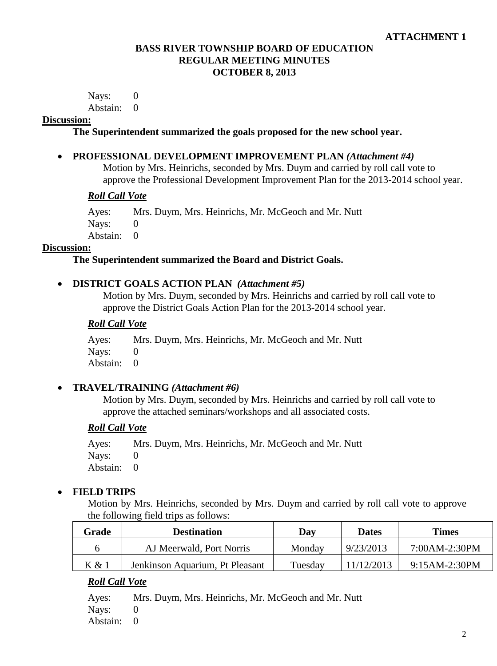Nays: 0 Abstain: 0

### **Discussion:**

**The Superintendent summarized the goals proposed for the new school year.**

### • **PROFESSIONAL DEVELOPMENT IMPROVEMENT PLAN** *(Attachment #4)*

Motion by Mrs. Heinrichs, seconded by Mrs. Duym and carried by roll call vote to approve the Professional Development Improvement Plan for the 2013-2014 school year.

#### *Roll Call Vote*

Ayes: Mrs. Duym, Mrs. Heinrichs, Mr. McGeoch and Mr. Nutt

Navs: 0

Abstain: 0

### **Discussion:**

### **The Superintendent summarized the Board and District Goals.**

### • **DISTRICT GOALS ACTION PLAN** *(Attachment #5)*

Motion by Mrs. Duym, seconded by Mrs. Heinrichs and carried by roll call vote to approve the District Goals Action Plan for the 2013-2014 school year.

# *Roll Call Vote*

Ayes: Mrs. Duym, Mrs. Heinrichs, Mr. McGeoch and Mr. Nutt Nays: 0 Abstain: 0

# • **TRAVEL/TRAINING** *(Attachment #6)*

Motion by Mrs. Duym, seconded by Mrs. Heinrichs and carried by roll call vote to approve the attached seminars/workshops and all associated costs.

# *Roll Call Vote*

Ayes: Mrs. Duym, Mrs. Heinrichs, Mr. McGeoch and Mr. Nutt Nays: 0 Abstain: 0

# • **FIELD TRIPS**

Motion by Mrs. Heinrichs, seconded by Mrs. Duym and carried by roll call vote to approve the following field trips as follows:

| Grade | <b>Destination</b>              | Day     | <b>Dates</b> | Times           |
|-------|---------------------------------|---------|--------------|-----------------|
| n     | AJ Meerwald, Port Norris        | Monday  | 9/23/2013    | $7:00AM-2:30PM$ |
| K & 1 | Jenkinson Aquarium, Pt Pleasant | Tuesday | 11/12/2013   | 9:15AM-2:30PM   |

# *Roll Call Vote*

Ayes: Mrs. Duym, Mrs. Heinrichs, Mr. McGeoch and Mr. Nutt

Nays: 0

Abstain: 0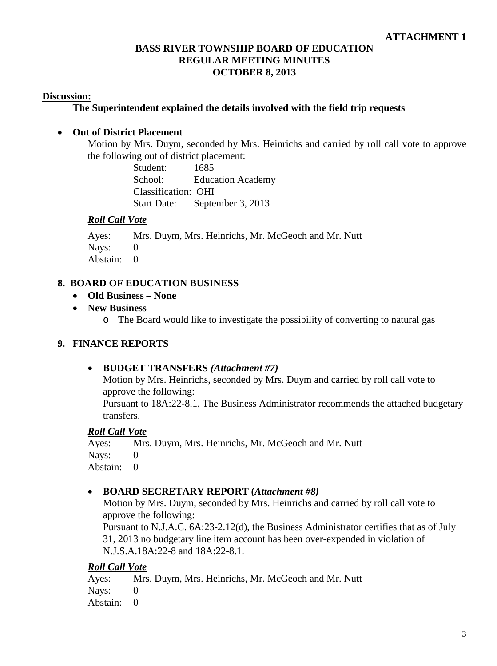### **Discussion:**

### **The Superintendent explained the details involved with the field trip requests**

### • **Out of District Placement**

Motion by Mrs. Duym, seconded by Mrs. Heinrichs and carried by roll call vote to approve the following out of district placement:

> Student: 1685 School: Education Academy Classification: OHI Start Date: September 3, 2013

### *Roll Call Vote*

Ayes: Mrs. Duym, Mrs. Heinrichs, Mr. McGeoch and Mr. Nutt Nays: 0 Abstain: 0

### **8. BOARD OF EDUCATION BUSINESS**

- **Old Business – None**
- **New Business**
	- o The Board would like to investigate the possibility of converting to natural gas

# **9. FINANCE REPORTS**

#### • **BUDGET TRANSFERS** *(Attachment #7)*

Motion by Mrs. Heinrichs, seconded by Mrs. Duym and carried by roll call vote to approve the following:

Pursuant to 18A:22-8.1, The Business Administrator recommends the attached budgetary transfers.

#### *Roll Call Vote*

Ayes: Mrs. Duym, Mrs. Heinrichs, Mr. McGeoch and Mr. Nutt Nays: 0 Abstain: 0

#### • **BOARD SECRETARY REPORT (***Attachment #8)*

Motion by Mrs. Duym, seconded by Mrs. Heinrichs and carried by roll call vote to approve the following:

Pursuant to N.J.A.C. 6A:23-2.12(d), the Business Administrator certifies that as of July 31, 2013 no budgetary line item account has been over-expended in violation of N.J.S.A.18A:22-8 and 18A:22-8.1.

# *Roll Call Vote*

Ayes: Mrs. Duym, Mrs. Heinrichs, Mr. McGeoch and Mr. Nutt Navs: 0 Abstain: 0